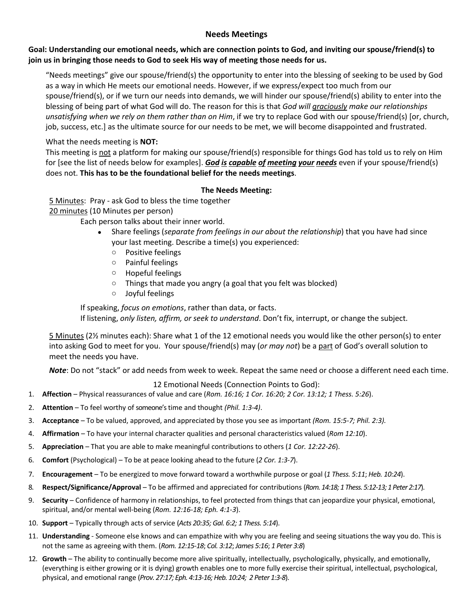## **Needs Meetings**

### **Goal: Understanding our emotional needs, which are connection points to God, and inviting our spouse/friend(s) to join us in bringing those needs to God to seek His way of meeting those needs for us.**

"Needs meetings" give our spouse/friend(s) the opportunity to enter into the blessing of seeking to be used by God as a way in which He meets our emotional needs. However, if we express/expect too much from our spouse/friend(s), or if we turn our needs into demands, we will hinder our spouse/friend(s) ability to enter into the blessing of being part of what God will do. The reason for this is that *God will graciously make our relationships unsatisfying when we rely on them rather than on Him*, if we try to replace God with our spouse/friend(s) [or, church, job, success, etc.] as the ultimate source for our needs to be met, we will become disappointed and frustrated.

# What the needs meeting is **NOT:**

This meeting is not a platform for making our spouse/friend(s) responsible for things God has told us to rely on Him for [see the list of needs below for examples]. *God is capable of meeting your needs* even if your spouse/friend(s) does not. **This has to be the foundational belief for the needs meetings**.

# **The Needs Meeting:**

5 Minutes: Pray - ask God to bless the time together

20 minutes (10 Minutes per person)

Each person talks about their inner world.

- Share feelings (*separate from feelings in our about the relationship*) that you have had since your last meeting. Describe a time(s) you experienced:
	- o Positive feelings
	- o Painful feelings
	- o Hopeful feelings
	- o Things that made you angry (a goal that you felt was blocked)
	- o Joyful feelings

If speaking, *focus on emotions*, rather than data, or facts. If listening, *only listen, affirm, or seek to understand*. Don't fix, interrupt, or change the subject.

5 Minutes (2½ minutes each): Share what 1 of the 12 emotional needs you would like the other person(s) to enter into asking God to meet for you. Your spouse/friend(s) may (*or may not*) be a part of God's overall solution to meet the needs you have.

*Note*: Do not "stack" or add needs from week to week. Repeat the same need or choose a different need each time.

12 Emotional Needs (Connection Points to God):

- 1. **Affection** Physical reassurances of value and care (*Rom. 16:16; 1 Cor. 16:20; 2 Cor. 13:12; 1 Thess. 5:26*).
- 2. **Attention** To feel worthy of someone'stime and thought *(Phil. 1:3-4)*.
- 3. **Acceptance** To be valued, approved, and appreciated by those you see as important *(Rom. 15:5-7; Phil. 2:3).*
- 4. **Affirmation** To have your internal character qualities and personal characteristics valued (*Rom 12:10*).
- 5. **Appreciation** That you are able to make meaningful contributions to others (*1 Cor. 12:22-26*).
- 6. **Comfort** (Psychological) To be at peace looking ahead to the future (*2 Cor. 1:3-7*).
- 7. **Encouragement** To be energized to move forward toward a worthwhile purpose or goal (*1 Thess. 5:11*; *Heb. 10:24*).
- 8. **Respect/Significance/Approval**  To be affirmed and appreciated for contributions (*Rom. 14:18;1 Thess. 5:12-13; 1 Peter 2:17*).
- 9. **Security** Confidence of harmony in relationships, to feel protected from things that can jeopardize your physical, emotional, spiritual, and/or mental well-being (*Rom. 12:16-18; Eph. 4:1-3*).
- 10. **Support** Typically through acts of service (*Acts 20:35; Gal. 6:2; 1 Thess. 5:14*).
- 11. **Understanding** Someone else knows and can empathize with why you are feeling and seeing situations the way you do. This is not the same as agreeing with them. (*Rom. 12:15-18*; *Col. 3:12*; *James 5:16*; *1 Peter 3:8*)
- 12. **Growth** The ability to continually become more alive spiritually, intellectually, psychologically, physically, and emotionally, (everything is either growing or it is dying) growth enables one to more fully exercise their spiritual, intellectual, psychological, physical, and emotional range (*Prov. 27:17; Eph. 4:13-16; Heb. 10:24; 2 Peter 1:3-8*).